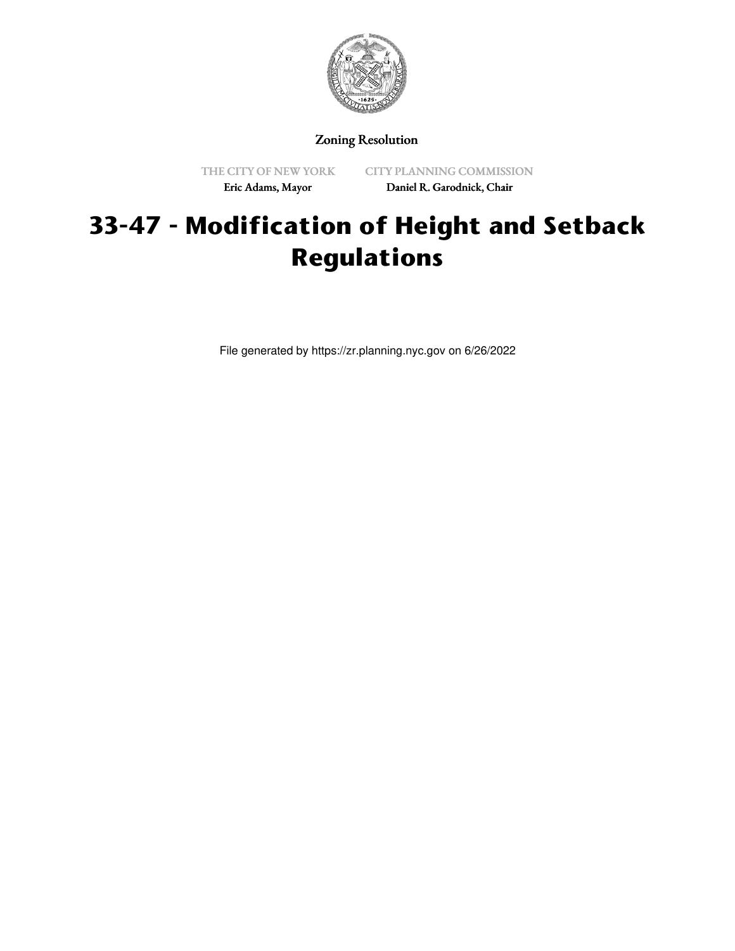

Zoning Resolution

THE CITY OF NEW YORK Eric Adams, Mayor

CITY PLANNING COMMISSION Daniel R. Garodnick, Chair

## **33-47 - Modification of Height and Setback Regulations**

File generated by https://zr.planning.nyc.gov on 6/26/2022